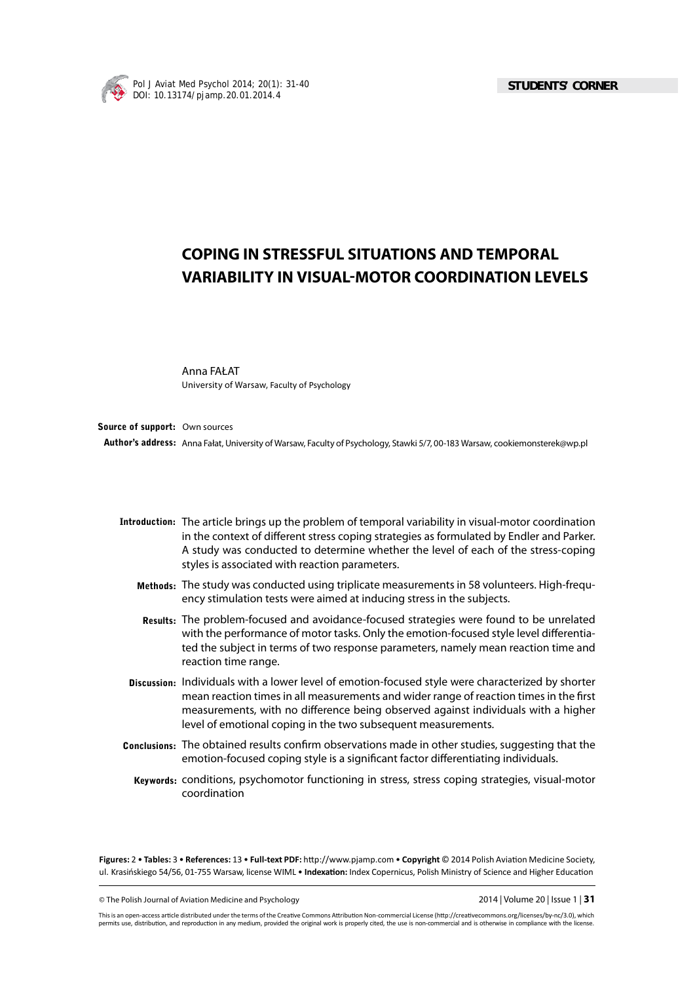

# **COPING IN STRESSFUL SITUATIONS AND TEMPORAL VARIABILITY IN VISUAL-MOTOR COORDINATION LEVELS**

Anna FAŁAT University of Warsaw, Faculty of Psychology

Author's address: Anna Fałat, University of Warsaw, Faculty of Psychology, Stawki 5/7, 00-183 Warsaw, cookiemonsterek@wp.pl **Source of support:** Own sources

- **Introduction:** The article brings up the problem of temporal variability in visual-motor coordination in the context of different stress coping strategies as formulated by Endler and Parker. A study was conducted to determine whether the level of each of the stress-coping styles is associated with reaction parameters.
	- **Methods:**  The study was conducted using triplicate measurements in 58 volunteers. High-frequency stimulation tests were aimed at inducing stress in the subjects.
	- **Results:** The problem-focused and avoidance-focused strategies were found to be unrelated with the performance of motor tasks. Only the emotion-focused style level differentiated the subject in terms of two response parameters, namely mean reaction time and reaction time range.
	- **Discussion:** Individuals with a lower level of emotion-focused style were characterized by shorter mean reaction times in all measurements and wider range of reaction times in the first measurements, with no difference being observed against individuals with a higher level of emotional coping in the two subsequent measurements.
- Conclusions: The obtained results confirm observations made in other studies, suggesting that the emotion-focused coping style is a significant factor differentiating individuals.
	- **Keywords:** conditions, psychomotor functioning in stress, stress coping strategies, visual-motor coordination

Figures: 2 • Tables: 3 • References: 13 • Full-text PDF: http://www.pjamp.com • Copyright © 2014 Polish Aviation Medicine Society, ul. Krasińskiego 54/56, 01-755 Warsaw, license WIML • Indexation: Index Copernicus, Polish Ministry of Science and Higher Education

© The Polish Journal of Aviation Medicine and Psychology 2014 | Volume 20 | Issue 1 | **31**

This is an open-access article distributed under the terms of the Creative Commons Attribution Non-commercial License (http://creativecommons.org/licenses/by-nc/3.0), which permits use, distribution, and reproduction in any medium, provided the original work is properly cited, the use is non-commercial and is otherwise in compliance with the license.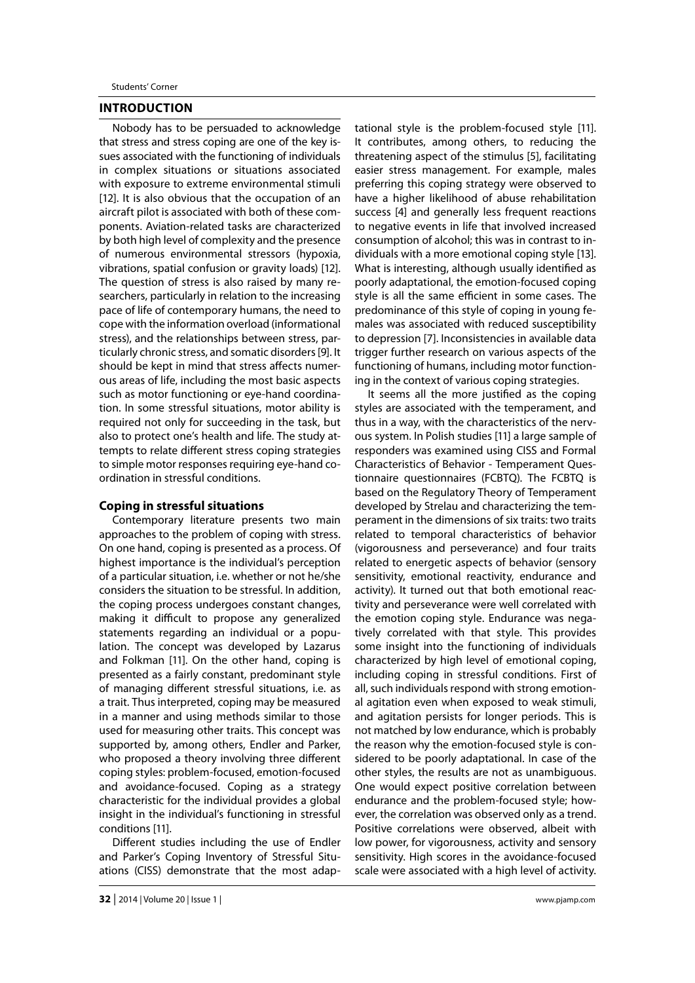# **INTRODUCTION**

Nobody has to be persuaded to acknowledge that stress and stress coping are one of the key issues associated with the functioning of individuals in complex situations or situations associated with exposure to extreme environmental stimuli [12]. It is also obvious that the occupation of an aircraft pilot is associated with both of these components. Aviation-related tasks are characterized by both high level of complexity and the presence of numerous environmental stressors (hypoxia, vibrations, spatial confusion or gravity loads) [12]. The question of stress is also raised by many researchers, particularly in relation to the increasing pace of life of contemporary humans, the need to cope with the information overload (informational stress), and the relationships between stress, particularly chronic stress, and somatic disorders [9]. It should be kept in mind that stress affects numerous areas of life, including the most basic aspects such as motor functioning or eye-hand coordination. In some stressful situations, motor ability is required not only for succeeding in the task, but also to protect one's health and life. The study attempts to relate different stress coping strategies to simple motor responses requiring eye-hand coordination in stressful conditions.

### **Coping in stressful situations**

Contemporary literature presents two main approaches to the problem of coping with stress. On one hand, coping is presented as a process. Of highest importance is the individual's perception of a particular situation, i.e. whether or not he/she considers the situation to be stressful. In addition, the coping process undergoes constant changes, making it difficult to propose any generalized statements regarding an individual or a population. The concept was developed by Lazarus and Folkman [11]. On the other hand, coping is presented as a fairly constant, predominant style of managing different stressful situations, i.e. as a trait. Thus interpreted, coping may be measured in a manner and using methods similar to those used for measuring other traits. This concept was supported by, among others, Endler and Parker, who proposed a theory involving three different coping styles: problem-focused, emotion-focused and avoidance-focused. Coping as a strategy characteristic for the individual provides a global insight in the individual's functioning in stressful conditions [11].

Different studies including the use of Endler and Parker's Coping Inventory of Stressful Situations (CISS) demonstrate that the most adaptational style is the problem-focused style [11]. It contributes, among others, to reducing the threatening aspect of the stimulus [5], facilitating easier stress management. For example, males preferring this coping strategy were observed to have a higher likelihood of abuse rehabilitation success [4] and generally less frequent reactions to negative events in life that involved increased consumption of alcohol; this was in contrast to individuals with a more emotional coping style [13]. What is interesting, although usually identified as poorly adaptational, the emotion-focused coping style is all the same efficient in some cases. The predominance of this style of coping in young females was associated with reduced susceptibility to depression [7]. Inconsistencies in available data trigger further research on various aspects of the functioning of humans, including motor functioning in the context of various coping strategies.

It seems all the more justified as the coping styles are associated with the temperament, and thus in a way, with the characteristics of the nervous system. In Polish studies [11] a large sample of responders was examined using CISS and Formal Characteristics of Behavior - Temperament Questionnaire questionnaires (FCBTQ). The FCBTQ is based on the Regulatory Theory of Temperament developed by Strelau and characterizing the temperament in the dimensions of six traits: two traits related to temporal characteristics of behavior (vigorousness and perseverance) and four traits related to energetic aspects of behavior (sensory sensitivity, emotional reactivity, endurance and activity). It turned out that both emotional reactivity and perseverance were well correlated with the emotion coping style. Endurance was negatively correlated with that style. This provides some insight into the functioning of individuals characterized by high level of emotional coping, including coping in stressful conditions. First of all, such individuals respond with strong emotional agitation even when exposed to weak stimuli, and agitation persists for longer periods. This is not matched by low endurance, which is probably the reason why the emotion-focused style is considered to be poorly adaptational. In case of the other styles, the results are not as unambiguous. One would expect positive correlation between endurance and the problem-focused style; however, the correlation was observed only as a trend. Positive correlations were observed, albeit with low power, for vigorousness, activity and sensory sensitivity. High scores in the avoidance-focused scale were associated with a high level of activity.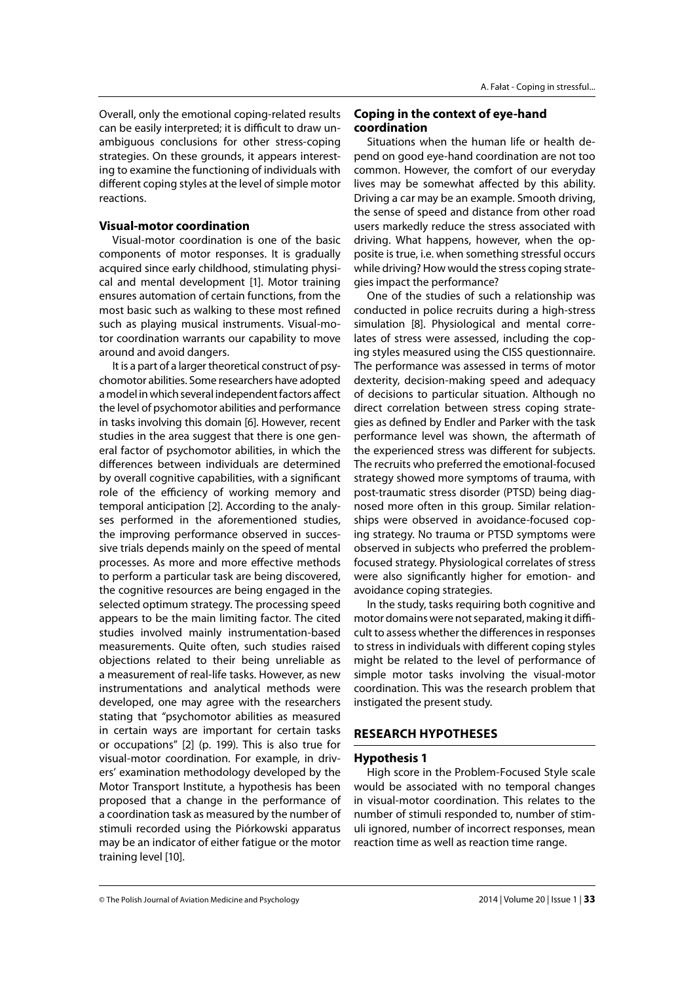Overall, only the emotional coping-related results can be easily interpreted; it is difficult to draw unambiguous conclusions for other stress-coping strategies. On these grounds, it appears interesting to examine the functioning of individuals with different coping styles at the level of simple motor reactions.

# **Visual-motor coordination**

Visual-motor coordination is one of the basic components of motor responses. It is gradually acquired since early childhood, stimulating physical and mental development [1]. Motor training ensures automation of certain functions, from the most basic such as walking to these most refined such as playing musical instruments. Visual-motor coordination warrants our capability to move around and avoid dangers.

It is a part of a larger theoretical construct of psychomotor abilities. Some researchers have adopted a model in which several independent factors affect the level of psychomotor abilities and performance in tasks involving this domain [6]. However, recent studies in the area suggest that there is one general factor of psychomotor abilities, in which the differences between individuals are determined by overall cognitive capabilities, with a significant role of the efficiency of working memory and temporal anticipation [2]. According to the analyses performed in the aforementioned studies, the improving performance observed in successive trials depends mainly on the speed of mental processes. As more and more effective methods to perform a particular task are being discovered, the cognitive resources are being engaged in the selected optimum strategy. The processing speed appears to be the main limiting factor. The cited studies involved mainly instrumentation-based measurements. Quite often, such studies raised objections related to their being unreliable as a measurement of real-life tasks. However, as new instrumentations and analytical methods were developed, one may agree with the researchers stating that "psychomotor abilities as measured in certain ways are important for certain tasks or occupations" [2] (p. 199). This is also true for visual-motor coordination. For example, in drivers' examination methodology developed by the Motor Transport Institute, a hypothesis has been proposed that a change in the performance of a coordination task as measured by the number of stimuli recorded using the Piórkowski apparatus may be an indicator of either fatigue or the motor training level [10].

# **Coping in the context of eye-hand coordination**

Situations when the human life or health depend on good eye-hand coordination are not too common. However, the comfort of our everyday lives may be somewhat affected by this ability. Driving a car may be an example. Smooth driving, the sense of speed and distance from other road users markedly reduce the stress associated with driving. What happens, however, when the opposite is true, i.e. when something stressful occurs while driving? How would the stress coping strategies impact the performance?

One of the studies of such a relationship was conducted in police recruits during a high-stress simulation [8]. Physiological and mental correlates of stress were assessed, including the coping styles measured using the CISS questionnaire. The performance was assessed in terms of motor dexterity, decision-making speed and adequacy of decisions to particular situation. Although no direct correlation between stress coping strategies as defined by Endler and Parker with the task performance level was shown, the aftermath of the experienced stress was different for subjects. The recruits who preferred the emotional-focused strategy showed more symptoms of trauma, with post-traumatic stress disorder (PTSD) being diagnosed more often in this group. Similar relationships were observed in avoidance-focused coping strategy. No trauma or PTSD symptoms were observed in subjects who preferred the problemfocused strategy. Physiological correlates of stress were also significantly higher for emotion- and avoidance coping strategies.

In the study, tasks requiring both cognitive and motor domains were not separated, making it difficult to assess whether the differences in responses to stress in individuals with different coping styles might be related to the level of performance of simple motor tasks involving the visual-motor coordination. This was the research problem that instigated the present study.

# **RESEARCH HYPOTHESES**

## **Hypothesis 1**

High score in the Problem-Focused Style scale would be associated with no temporal changes in visual-motor coordination. This relates to the number of stimuli responded to, number of stimuli ignored, number of incorrect responses, mean reaction time as well as reaction time range.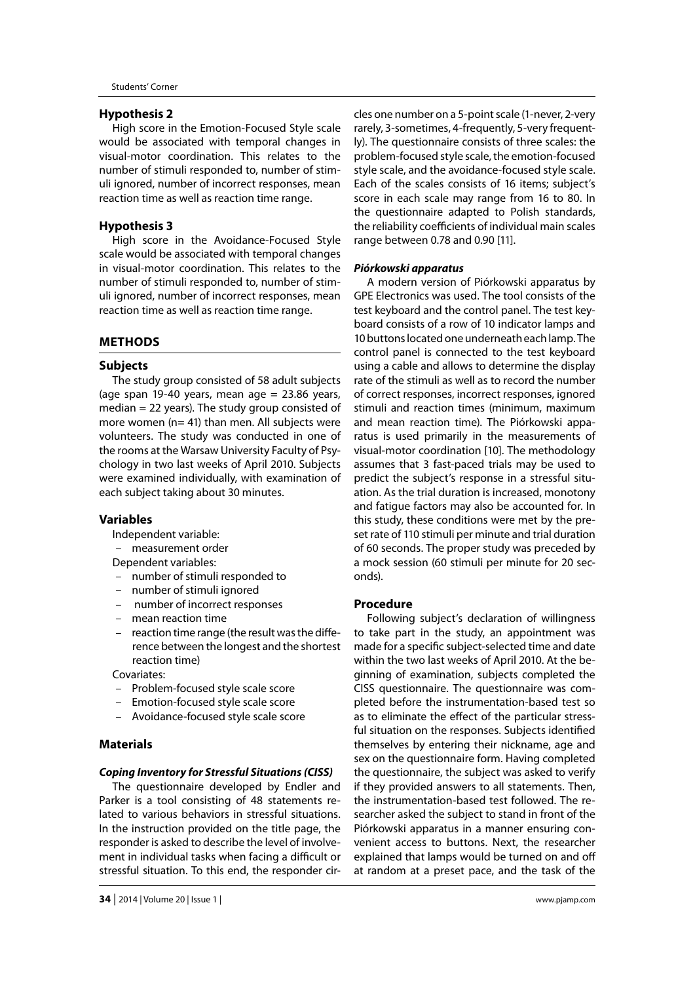#### **Hypothesis 2**

High score in the Emotion-Focused Style scale would be associated with temporal changes in visual-motor coordination. This relates to the number of stimuli responded to, number of stimuli ignored, number of incorrect responses, mean reaction time as well as reaction time range.

# **Hypothesis 3**

High score in the Avoidance-Focused Style scale would be associated with temporal changes in visual-motor coordination. This relates to the number of stimuli responded to, number of stimuli ignored, number of incorrect responses, mean reaction time as well as reaction time range.

## **METHODS**

## **Subjects**

The study group consisted of 58 adult subjects (age span 19-40 years, mean age  $= 23.86$  years, median = 22 years). The study group consisted of more women (n= 41) than men. All subjects were volunteers. The study was conducted in one of the rooms at the Warsaw University Faculty of Psychology in two last weeks of April 2010. Subjects were examined individually, with examination of each subject taking about 30 minutes.

## **Variables**

Independent variable:

– measurement order

Dependent variables:

- number of stimuli responded to
- number of stimuli ignored
- number of incorrect responses
- mean reaction time
- reaction time range (the result was the difference between the longest and the shortest reaction time)
- Covariates:
- Problem-focused style scale score
- Emotion-focused style scale score
- Avoidance-focused style scale score

## **Materials**

#### *Coping Inventory for Stressful Situations (CISS)*

The questionnaire developed by Endler and Parker is a tool consisting of 48 statements related to various behaviors in stressful situations. In the instruction provided on the title page, the responder is asked to describe the level of involvement in individual tasks when facing a difficult or stressful situation. To this end, the responder cir-

cles one number on a 5-point scale (1-never, 2-very rarely, 3-sometimes, 4-frequently, 5-very frequently). The questionnaire consists of three scales: the problem-focused style scale, the emotion-focused style scale, and the avoidance-focused style scale. Each of the scales consists of 16 items; subject's score in each scale may range from 16 to 80. In the questionnaire adapted to Polish standards, the reliability coefficients of individual main scales range between 0.78 and 0.90 [11].

#### *Piórkowski apparatus*

A modern version of Piórkowski apparatus by GPE Electronics was used. The tool consists of the test keyboard and the control panel. The test keyboard consists of a row of 10 indicator lamps and 10 buttons located one underneath each lamp. The control panel is connected to the test keyboard using a cable and allows to determine the display rate of the stimuli as well as to record the number of correct responses, incorrect responses, ignored stimuli and reaction times (minimum, maximum and mean reaction time). The Piórkowski apparatus is used primarily in the measurements of visual-motor coordination [10]. The methodology assumes that 3 fast-paced trials may be used to predict the subject's response in a stressful situation. As the trial duration is increased, monotony and fatigue factors may also be accounted for. In this study, these conditions were met by the preset rate of 110 stimuli per minute and trial duration of 60 seconds. The proper study was preceded by a mock session (60 stimuli per minute for 20 seconds).

#### **Procedure**

Following subject's declaration of willingness to take part in the study, an appointment was made for a specific subject-selected time and date within the two last weeks of April 2010. At the beginning of examination, subjects completed the CISS questionnaire. The questionnaire was completed before the instrumentation-based test so as to eliminate the effect of the particular stressful situation on the responses. Subjects identified themselves by entering their nickname, age and sex on the questionnaire form. Having completed the questionnaire, the subject was asked to verify if they provided answers to all statements. Then, the instrumentation-based test followed. The researcher asked the subject to stand in front of the Piórkowski apparatus in a manner ensuring convenient access to buttons. Next, the researcher explained that lamps would be turned on and off at random at a preset pace, and the task of the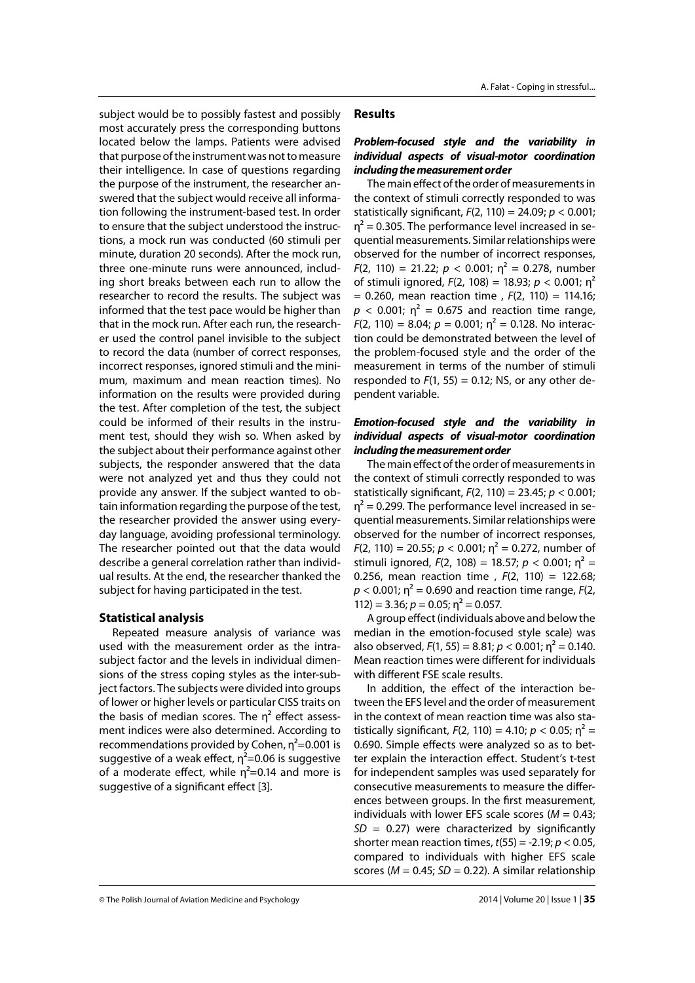subject would be to possibly fastest and possibly most accurately press the corresponding buttons located below the lamps. Patients were advised that purpose of the instrument was not to measure their intelligence. In case of questions regarding the purpose of the instrument, the researcher answered that the subject would receive all information following the instrument-based test. In order to ensure that the subject understood the instructions, a mock run was conducted (60 stimuli per minute, duration 20 seconds). After the mock run, three one-minute runs were announced, including short breaks between each run to allow the researcher to record the results. The subject was informed that the test pace would be higher than that in the mock run. After each run, the researcher used the control panel invisible to the subject to record the data (number of correct responses, incorrect responses, ignored stimuli and the minimum, maximum and mean reaction times). No information on the results were provided during the test. After completion of the test, the subject could be informed of their results in the instrument test, should they wish so. When asked by the subject about their performance against other subjects, the responder answered that the data were not analyzed yet and thus they could not provide any answer. If the subject wanted to obtain information regarding the purpose of the test, the researcher provided the answer using everyday language, avoiding professional terminology. The researcher pointed out that the data would describe a general correlation rather than individual results. At the end, the researcher thanked the subject for having participated in the test.

## **Statistical analysis**

Repeated measure analysis of variance was used with the measurement order as the intrasubject factor and the levels in individual dimensions of the stress coping styles as the inter-subject factors. The subjects were divided into groups of lower or higher levels or particular CISS traits on the basis of median scores. The  $\eta^2$  effect assessment indices were also determined. According to recommendations provided by Cohen,  $\eta^2$ =0.001 is suggestive of a weak effect,  $\eta^2$ =0.06 is suggestive of a moderate effect, while  $\eta^2$ =0.14 and more is suggestive of a significant effect [3].

# **Results**

# *Problem-focused style and the variability in individual aspects of visual-motor coordination including the measurement order*

The main effect of the order of measurements in the context of stimuli correctly responded to was statistically significant,  $F(2, 110) = 24.09$ ;  $p < 0.001$ ;  $\eta^2$  = 0.305. The performance level increased in sequential measurements. Similar relationships were observed for the number of incorrect responses,  $F(2, 110) = 21.22$ ;  $p < 0.001$ ;  $n^2 = 0.278$ , number of stimuli ignored, *F*(2, 108) = 18.93; *p* < 0.001; η2 = 0.260, mean reaction time , *F*(2, 110) = 114.16;  $p < 0.001$ ;  $\eta^2 = 0.675$  and reaction time range,  $F(2, 110) = 8.04$ ;  $p = 0.001$ ;  $n^2 = 0.128$ . No interaction could be demonstrated between the level of the problem-focused style and the order of the measurement in terms of the number of stimuli responded to  $F(1, 55) = 0.12$ ; NS, or any other dependent variable.

# *Emotion-focused style and the variability in individual aspects of visual-motor coordination including the measurement order*

The main effect of the order of measurements in the context of stimuli correctly responded to was statistically significant, *F*(2, 110) = 23.45; *p* < 0.001;  $n^2$  = 0.299. The performance level increased in sequential measurements. Similar relationships were observed for the number of incorrect responses,  $F(2, 110) = 20.55$ ;  $p < 0.001$ ;  $n^2 = 0.272$ , number of stimuli ignored,  $F(2, 108) = 18.57$ ;  $p < 0.001$ ;  $n^2 =$ 0.256, mean reaction time , *F*(2, 110) = 122.68;  $p$  < 0.001;  $\eta^2$  = 0.690 and reaction time range, *F*(2,  $112$ ) = 3.36;  $p = 0.05$ ;  $\eta^2 = 0.057$ .

A group effect (individuals above and below the median in the emotion-focused style scale) was also observed,  $F(1, 55) = 8.81; p < 0.001; \eta^2 = 0.140.$ Mean reaction times were different for individuals with different FSE scale results.

In addition, the effect of the interaction between the EFS level and the order of measurement in the context of mean reaction time was also statistically significant,  $F(2, 110) = 4.10$ ;  $p < 0.05$ ;  $n^2 =$ 0.690. Simple effects were analyzed so as to better explain the interaction effect. Student's t-test for independent samples was used separately for consecutive measurements to measure the differences between groups. In the first measurement, individuals with lower EFS scale scores ( $M = 0.43$ ;  $SD = 0.27$ ) were characterized by significantly shorter mean reaction times, *t*(55) = -2.19; *p* < 0.05, compared to individuals with higher EFS scale scores ( $M = 0.45$ ;  $SD = 0.22$ ). A similar relationship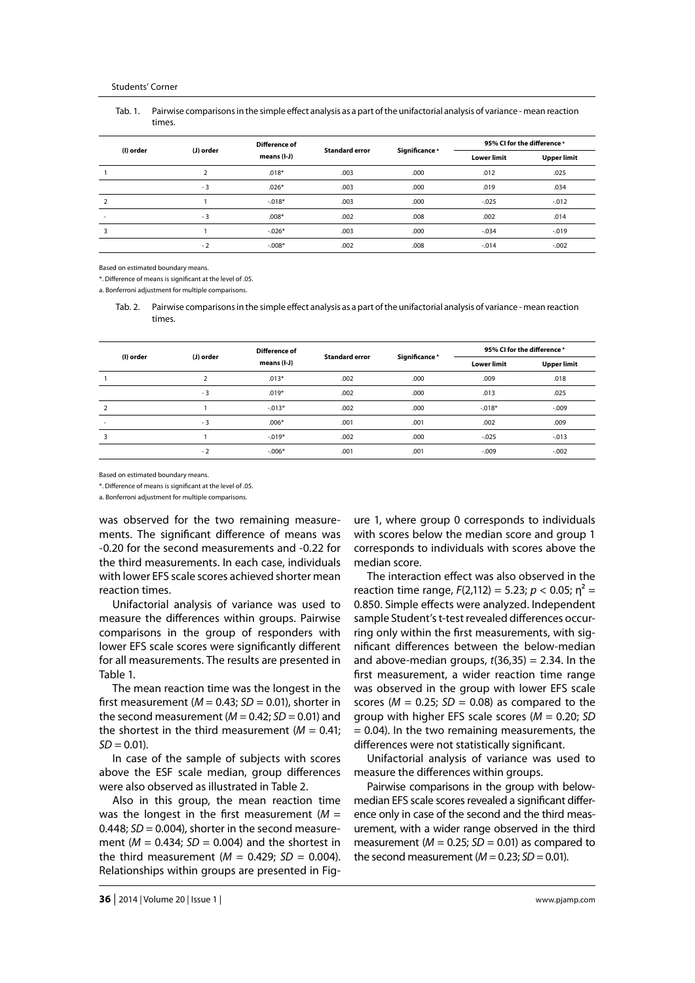#### Students' Corner

Tab. 1. Pairwise comparisons in the simple effect analysis as a part of the unifactorial analysis of variance - mean reaction times.

| (I) order      | (J) order | Difference of<br>means (I-J) | <b>Standard error</b> | Significance <sup>a</sup> | 95% CI for the difference a |                    |
|----------------|-----------|------------------------------|-----------------------|---------------------------|-----------------------------|--------------------|
|                |           |                              |                       |                           | <b>Lower limit</b>          | <b>Upper limit</b> |
|                |           | $.018*$                      | .003                  | .000                      | .012                        | .025               |
|                | $-3$      | $.026*$                      | .003                  | .000                      | .019                        | .034               |
| $\overline{2}$ |           | $-.018*$                     | .003                  | .000                      | $-0.025$                    | $-0.012$           |
|                | $-3$      | $.008*$                      | .002                  | .008                      | .002                        | .014               |
| 3              |           | $-.026*$                     | .003                  | .000                      | $-.034$                     | $-0.019$           |
|                | $-2$      | $-.008*$                     | .002                  | .008                      | $-0.014$                    | $-0.002$           |

Based on estimated boundary means.

\*. Difference of means is significant at the level of .05.

a. Bonferroni adjustment for multiple comparisons.

Tab. 2. Pairwise comparisons in the simple effect analysis as a part of the unifactorial analysis of variance - mean reaction times.

| (I) order      | (J) order | Difference of<br>means (I-J) | <b>Standard error</b> | Significance <sup>a</sup> | 95% CI for the difference a |                    |
|----------------|-----------|------------------------------|-----------------------|---------------------------|-----------------------------|--------------------|
|                |           |                              |                       |                           | <b>Lower limit</b>          | <b>Upper limit</b> |
|                | n.        | $.013*$                      | .002                  | .000                      | .009                        | .018               |
|                | $-3$      | $.019*$                      | .002                  | .000                      | .013                        | .025               |
| $\overline{2}$ |           | $-.013*$                     | .002                  | .000                      | $-.018*$                    | $-0.009$           |
|                | $-3$      | $.006*$                      | .001                  | .001                      | .002                        | .009               |
| 3              |           | $-.019*$                     | .002                  | .000                      | $-0.025$                    | $-0.013$           |
|                | $-2$      | $-.006*$                     | .001                  | .001                      | $-0.09$                     | $-.002$            |

Based on estimated boundary means.

\*. Difference of means is significant at the level of .05.

a. Bonferroni adjustment for multiple comparisons.

was observed for the two remaining measurements. The significant difference of means was -0.20 for the second measurements and -0.22 for the third measurements. In each case, individuals with lower EFS scale scores achieved shorter mean reaction times.

Unifactorial analysis of variance was used to measure the differences within groups. Pairwise comparisons in the group of responders with lower EFS scale scores were significantly different for all measurements. The results are presented in Table 1.

The mean reaction time was the longest in the first measurement ( $M = 0.43$ ;  $SD = 0.01$ ), shorter in the second measurement  $(M = 0.42; SD = 0.01)$  and the shortest in the third measurement  $(M = 0.41)$ ;  $SD = 0.01$ .

In case of the sample of subjects with scores above the ESF scale median, group differences were also observed as illustrated in Table 2.

Also in this group, the mean reaction time was the longest in the first measurement  $(M =$ 0.448;  $SD = 0.004$ ), shorter in the second measurement ( $M = 0.434$ ;  $SD = 0.004$ ) and the shortest in the third measurement  $(M = 0.429; SD = 0.004)$ . Relationships within groups are presented in Fig-

ure 1, where group 0 corresponds to individuals with scores below the median score and group 1 corresponds to individuals with scores above the median score.

The interaction effect was also observed in the reaction time range,  $F(2,112) = 5.23$ ;  $p < 0.05$ ;  $n^2 =$ 0.850. Simple effects were analyzed. Independent sample Student's t-test revealed differences occurring only within the first measurements, with significant differences between the below-median and above-median groups,  $t(36,35) = 2.34$ . In the first measurement, a wider reaction time range was observed in the group with lower EFS scale scores ( $M = 0.25$ ;  $SD = 0.08$ ) as compared to the group with higher EFS scale scores (*M* = 0.20; *SD*  $= 0.04$ ). In the two remaining measurements, the differences were not statistically significant.

Unifactorial analysis of variance was used to measure the differences within groups.

Pairwise comparisons in the group with belowmedian EFS scale scores revealed a significant difference only in case of the second and the third measurement, with a wider range observed in the third measurement ( $M = 0.25$ ;  $SD = 0.01$ ) as compared to the second measurement  $(M = 0.23; SD = 0.01)$ .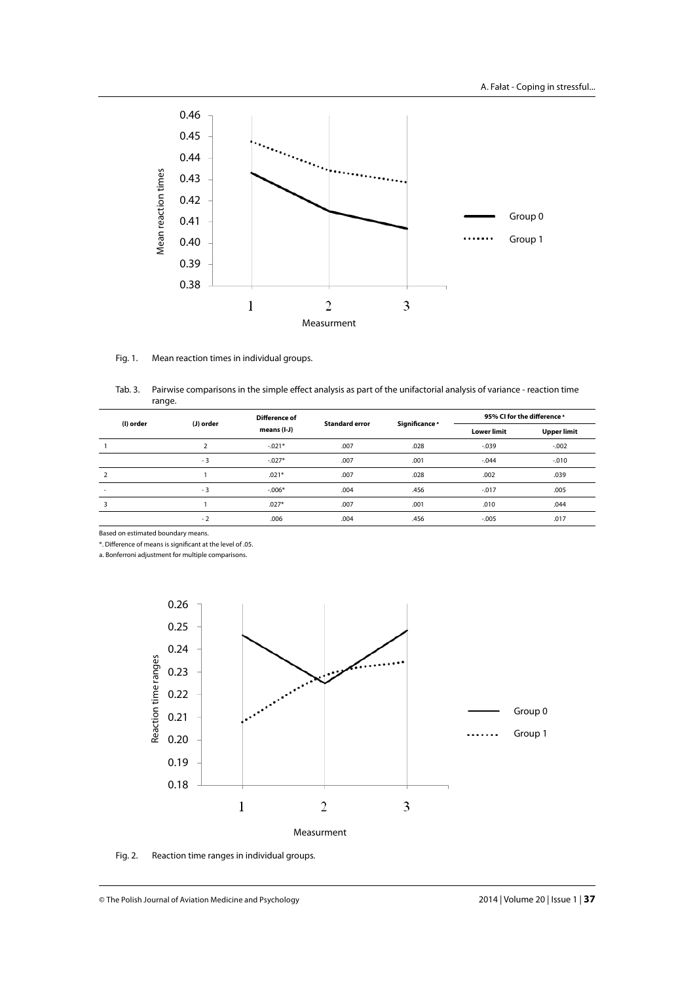

#### Fig. 1. Mean reaction times in individual groups.

Tab. 3. Pairwise comparisons in the simple effect analysis as part of the unifactorial analysis of variance - reaction time range.

| (I) order                | (J) order | Difference of<br>means (I-J) | <b>Standard error</b> | Significance <sup>a</sup> | 95% CI for the difference a |                    |
|--------------------------|-----------|------------------------------|-----------------------|---------------------------|-----------------------------|--------------------|
|                          |           |                              |                       |                           | <b>Lower limit</b>          | <b>Upper limit</b> |
|                          |           | $-.021*$                     | .007                  | .028                      | $-0.039$                    | $-.002$            |
|                          | $-3$      | $-.027*$                     | .007                  | .001                      | $-0.044$                    | $-0.010$           |
| $\overline{2}$           |           | $.021*$                      | .007                  | .028                      | .002                        | .039               |
| $\overline{\phantom{a}}$ | $-3$      | $-.006*$                     | .004                  | .456                      | $-0.017$                    | .005               |
| 3                        |           | $.027*$                      | .007                  | .001                      | .010                        | .044               |
|                          | $-2$      | .006                         | .004                  | .456                      | $-0.005$                    | .017               |

Based on estimated boundary means.

\*. Diff erence of means is signifi cant at the level of .05.

a. Bonferroni adjustment for multiple comparisons.



Fig. 2. Reaction time ranges in individual groups.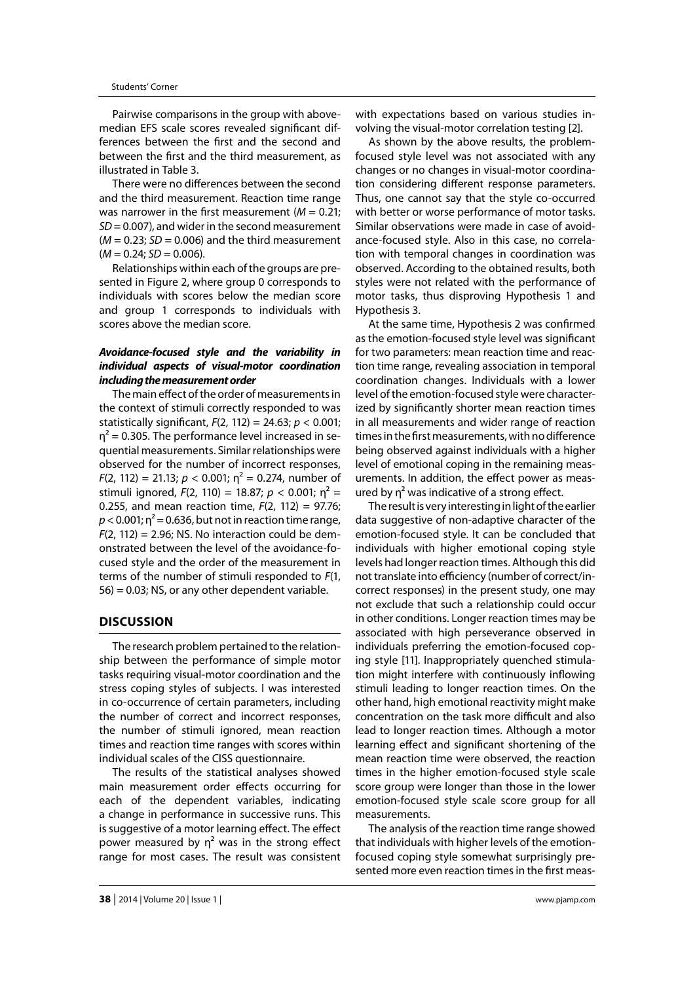Pairwise comparisons in the group with abovemedian EFS scale scores revealed significant differences between the first and the second and between the first and the third measurement, as illustrated in Table 3.

There were no differences between the second and the third measurement. Reaction time range was narrower in the first measurement  $(M = 0.21)$ ; *SD* = 0.007), and wider in the second measurement  $(M = 0.23; SD = 0.006)$  and the third measurement  $(M = 0.24; SD = 0.006)$ .

Relationships within each of the groups are presented in Figure 2, where group 0 corresponds to individuals with scores below the median score and group 1 corresponds to individuals with scores above the median score.

# *Avoidance-focused style and the variability in individual aspects of visual-motor coordination including the measurement order*

The main effect of the order of measurements in the context of stimuli correctly responded to was statistically significant, *F*(2, 112) = 24.63; *p* < 0.001;  $\eta^2$  = 0.305. The performance level increased in sequential measurements. Similar relationships were observed for the number of incorrect responses,  $F(2, 112) = 21.13; p < 0.001; \eta^2 = 0.274$ , number of stimuli ignored,  $F(2, 110) = 18.87$ ;  $p < 0.001$ ;  $n^2 =$ 0.255, and mean reaction time, *F*(2, 112) = 97.76;  $p < 0.001$ ;  $n^2 = 0.636$ , but not in reaction time range,  $F(2, 112) = 2.96$ ; NS. No interaction could be demonstrated between the level of the avoidance-focused style and the order of the measurement in terms of the number of stimuli responded to *F*(1,  $56$  = 0.03; NS, or any other dependent variable.

## **DISCUSSION**

The research problem pertained to the relationship between the performance of simple motor tasks requiring visual-motor coordination and the stress coping styles of subjects. I was interested in co-occurrence of certain parameters, including the number of correct and incorrect responses, the number of stimuli ignored, mean reaction times and reaction time ranges with scores within individual scales of the CISS questionnaire.

The results of the statistical analyses showed main measurement order effects occurring for each of the dependent variables, indicating a change in performance in successive runs. This is suggestive of a motor learning effect. The effect power measured by  $\eta^2$  was in the strong effect range for most cases. The result was consistent with expectations based on various studies involving the visual-motor correlation testing [2].

As shown by the above results, the problemfocused style level was not associated with any changes or no changes in visual-motor coordination considering different response parameters. Thus, one cannot say that the style co-occurred with better or worse performance of motor tasks. Similar observations were made in case of avoidance-focused style. Also in this case, no correlation with temporal changes in coordination was observed. According to the obtained results, both styles were not related with the performance of motor tasks, thus disproving Hypothesis 1 and Hypothesis 3.

At the same time, Hypothesis 2 was confirmed as the emotion-focused style level was significant for two parameters: mean reaction time and reaction time range, revealing association in temporal coordination changes. Individuals with a lower level of the emotion-focused style were characterized by significantly shorter mean reaction times in all measurements and wider range of reaction times in the first measurements, with no difference being observed against individuals with a higher level of emotional coping in the remaining measurements. In addition, the effect power as measured by  $\eta^2$  was indicative of a strong effect.

The result is very interesting in light of the earlier data suggestive of non-adaptive character of the emotion-focused style. It can be concluded that individuals with higher emotional coping style levels had longer reaction times. Although this did not translate into efficiency (number of correct/incorrect responses) in the present study, one may not exclude that such a relationship could occur in other conditions. Longer reaction times may be associated with high perseverance observed in individuals preferring the emotion-focused coping style [11]. Inappropriately quenched stimulation might interfere with continuously inflowing stimuli leading to longer reaction times. On the other hand, high emotional reactivity might make concentration on the task more difficult and also lead to longer reaction times. Although a motor learning effect and significant shortening of the mean reaction time were observed, the reaction times in the higher emotion-focused style scale score group were longer than those in the lower emotion-focused style scale score group for all measurements.

The analysis of the reaction time range showed that individuals with higher levels of the emotionfocused coping style somewhat surprisingly presented more even reaction times in the first meas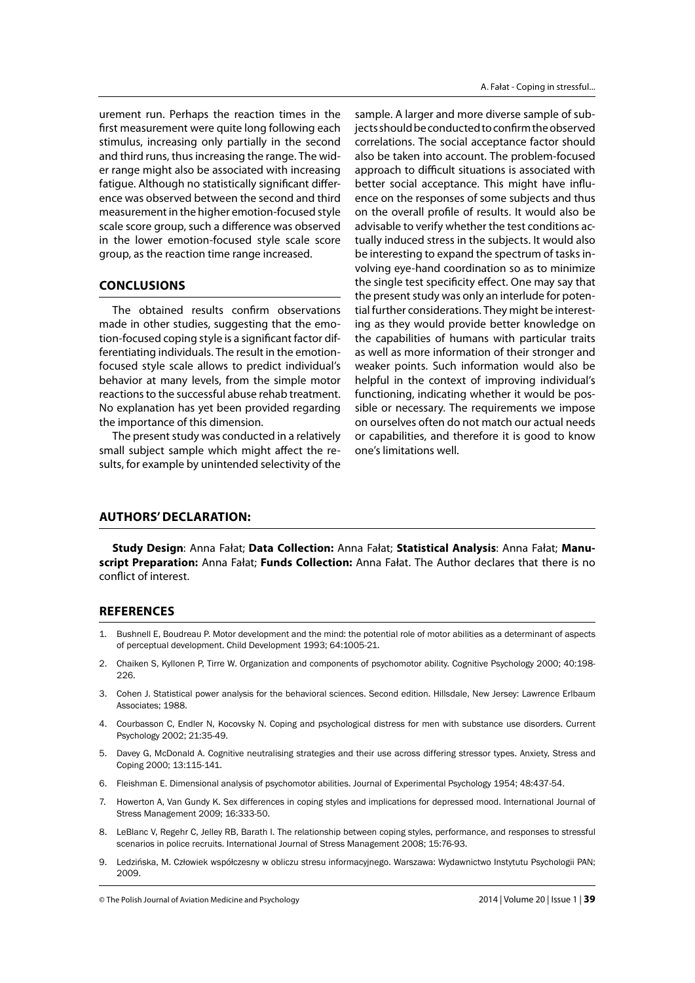urement run. Perhaps the reaction times in the first measurement were quite long following each stimulus, increasing only partially in the second and third runs, thus increasing the range. The wider range might also be associated with increasing fatigue. Although no statistically significant difference was observed between the second and third measurement in the higher emotion-focused style scale score group, such a difference was observed in the lower emotion-focused style scale score group, as the reaction time range increased.

## **CONCLUSIONS**

The obtained results confirm observations made in other studies, suggesting that the emotion-focused coping style is a significant factor differentiating individuals. The result in the emotionfocused style scale allows to predict individual's behavior at many levels, from the simple motor reactions to the successful abuse rehab treatment. No explanation has yet been provided regarding the importance of this dimension.

The present study was conducted in a relatively small subject sample which might affect the results, for example by unintended selectivity of the

sample. A larger and more diverse sample of subjects should be conducted to confirm the observed correlations. The social acceptance factor should also be taken into account. The problem-focused approach to difficult situations is associated with better social acceptance. This might have influence on the responses of some subjects and thus on the overall profile of results. It would also be advisable to verify whether the test conditions actually induced stress in the subjects. It would also be interesting to expand the spectrum of tasks involving eye-hand coordination so as to minimize the single test specificity effect. One may say that the present study was only an interlude for potential further considerations. They might be interesting as they would provide better knowledge on the capabilities of humans with particular traits as well as more information of their stronger and weaker points. Such information would also be helpful in the context of improving individual's functioning, indicating whether it would be possible or necessary. The requirements we impose on ourselves often do not match our actual needs or capabilities, and therefore it is good to know one's limitations well.

# **AUTHORS' DECLARATION:**

**Study Design**: Anna Fałat; **Data Collection:** Anna Fałat; **Statistical Analysis**: Anna Fałat; **Manuscript Preparation:** Anna Fałat; **Funds Collection:** Anna Fałat. The Author declares that there is no conflict of interest.

## **REFERENCES**

- 1. Bushnell E, Boudreau P. Motor development and the mind: the potential role of motor abilities as a determinant of aspects of perceptual development. Child Development 1993; 64:1005-21.
- 2. Chaiken S, Kyllonen P, Tirre W. Organization and components of psychomotor ability. Cognitive Psychology 2000; 40:198- 226.
- 3. Cohen J. Statistical power analysis for the behavioral sciences. Second edition. Hillsdale, New Jersey: Lawrence Erlbaum Associates; 1988.
- 4. Courbasson C, Endler N, Kocovsky N. Coping and psychological distress for men with substance use disorders. Current Psychology 2002; 21:35-49.
- 5. Davey G, McDonald A. Cognitive neutralising strategies and their use across differing stressor types. Anxiety, Stress and Coping 2000; 13:115-141.
- 6. Fleishman E. Dimensional analysis of psychomotor abilities. Journal of Experimental Psychology 1954; 48:437-54.
- 7. Howerton A, Van Gundy K. Sex differences in coping styles and implications for depressed mood. International Journal of Stress Management 2009; 16:333-50.
- 8. LeBlanc V, Regehr C, Jelley RB, Barath I. The relationship between coping styles, performance, and responses to stressful scenarios in police recruits. International Journal of Stress Management 2008; 15:76-93.
- Ledzińska, M. Człowiek współczesny w obliczu stresu informacyjnego. Warszawa: Wydawnictwo Instytutu Psychologii PAN; 2009.